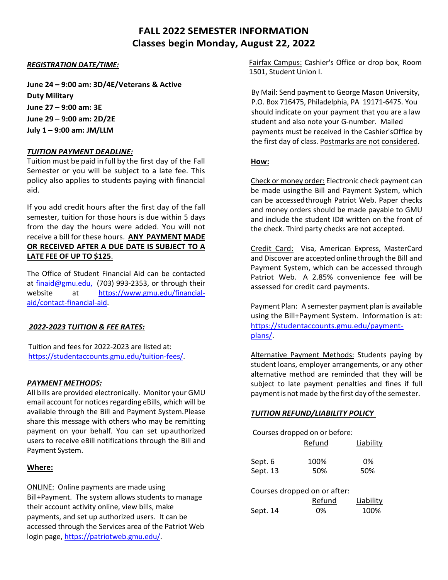# **FALL 2022 SEMESTER INFORMATION Classes begin Monday, August 22, 2022**

### *REGISTRATION DATE/TIME:*

**June 24 – 9:00 am: 3D/4E/Veterans & Active Duty Military June 27 – 9:00 am: 3E June 29 – 9:00 am: 2D/2E July 1 – 9:00 am: JM/LLM**

#### *TUITION PAYMENT DEADLINE:*

Tuition must be paid in full by the first day of the Fall Semester or you will be subject to a late fee. This policy also applies to students paying with financial aid.

If you add credit hours after the first day of the fall semester, tuition for those hours is due within 5 days from the day the hours were added. You will not receive a bill for these hours. **ANY PAYMENT MADE OR RECEIVED AFTER A DUE DATE IS SUBJECT TO A LATE FEE OF UP TO \$125**.

The Office of Student Financial Aid can be contacted at finaid@gmu.edu, (703) 993-2353, or through their website at https://www.gmu.edu/financialaid/contact-financial-aid.

### *2022-2023 TUITION & FEE RATES:*

Tuition and fees for 2022-2023 are listed at: https://studentaccounts.gmu.edu/tuition-fees/.

### *PAYMENT METHODS:*

All bills are provided electronically. Monitor your GMU email account for notices regarding eBills, which will be available through the Bill and Payment System. Please share this message with others who may be remitting payment on your behalf. You can set upauthorized users to receive eBill notifications through the Bill and Payment System.

#### **Where:**

ONLINE: Online payments are made using Bill+Payment. The system allows students to manage their account activity online, view bills, make payments, and set up authorized users. It can be accessed through the Services area of the Patriot Web login page, https://patriotweb.gmu.edu/.

Fairfax Campus: Cashier's Office or drop box, Room 1501, Student Union I.

By Mail: Send payment to George Mason University, P.O. Box 716475, Philadelphia, PA 19171-6475. You should indicate on your payment that you are a law student and also note your G-number. Mailed payments must be received in the Cashier'sOffice by the first day of class. Postmarks are not considered.

### **How:**

Check or money order: Electronic check payment can be made using the Bill and Payment System, which can be accessed through Patriot Web. Paper checks and money orders should be made payable to GMU and include the student ID# written on the front of the check. Third party checks are not accepted.

Credit Card: Visa, American Express, MasterCard and Discover are accepted online through the Bill and Payment System, which can be accessed through Patriot Web. A 2.85% convenience fee will be assessed for credit card payments.

Payment Plan: A semester payment plan is available using the Bill+Payment System. Information is at: https://studentaccounts.gmu.edu/paymentplans/.

Alternative Payment Methods: Students paying by student loans, employer arrangements, or any other alternative method are reminded that they will be subject to late payment penalties and fines if full payment is not made by the first day of the semester.

### *TUITION REFUND/LIABILITY POLICY*

Courses dropped on or before:

|          | Refund | Liability |
|----------|--------|-----------|
| Sept. 6  | 100%   | 0%        |
| Sept. 13 | 50%    | 50%       |

| Courses dropped on or after: |  |
|------------------------------|--|
|------------------------------|--|

|          | Refund | Liability |
|----------|--------|-----------|
| Sept. 14 | 0%     | 100%      |